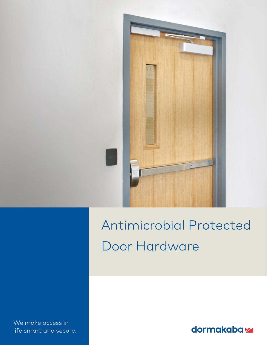

# Antimicrobial Protected Door Hardware

 We make access in life smart and secure.

dormakabaz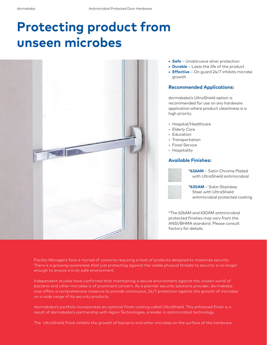## **Protecting product from unseen microbes**



- **• Safe** Unobtrusive silver protection
- **• Durable** Lasts the life of the product
- **• Effective** On guard 24/7 inhibits microbe growth

#### **Recommended Applications:**

dormakaba's UltraShield option is recommended for use on any hardware application where product cleanliness is a high priority.

- Hospital/Healthcare
- Elderly Care
- Education
- Transportation
- Food-Service
- Hospitality

#### **Available Finishes:**



**\*626AM** – Satin Chrome Plated with UltraShield antimicrobial



**\*630AM** – Satin Stainless Steel with UltraShield antimicrobial protected coating

\*The 626AM and 630AM antimicrobial protected finishes may vary from the ANSI/BHMA standard. Please consult factory for details.

Facility Managers face a myriad of concerns requiring a host of products designed to maximize security. There is a growing awareness that just protecting against the visible physical threats to security is no longer enough to ensure a truly safe environment.

Independent studies have confirmed that maintaining a secure environment against the unseen world of bacteria and other microbes is of prominent concern. As a premier security solutions provider, dormakaba now offers a comprehensive measure to provide continuous, 24/7 protection against the growth of microbes on a wide range of its security products.

dormakaba's portfolio incorporates an optional finish coating called UltraShield. This enhanced finish is a result of dormakaba's partnership with Agion Technologies, a leader in antimicrobial technology.

The UltraShield finish inhibits the growth of bacteria and other microbes on the surface of the hardware.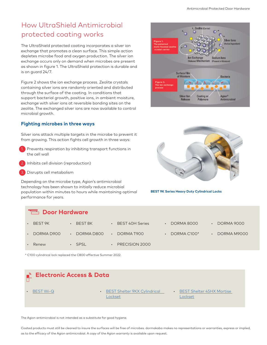### How UltraShield Antimicrobial protected coating works

The UltraShield protected coating incorporates a silver ion exchange that promotes a clean surface. This simple action depletes microbe food and oxygen production. The silver ion exchange occurs only on demand when microbes are present as shown in figure 1. The UltraShield protection is durable and is on guard 24/7.

Figure 2 shows the ion exchange process. Zeolite crystals containing silver ions are randomly oriented and distributed through the surface of the coating. In conditions that support bacterial growth, positive ions, in ambient moisture, exchange with silver ions at reversible bonding sites on the zeolite. The exchanged silver ions are now available to control microbial growth.

#### **Fighting microbes in three ways**

Silver ions attack multiple targets in the microbe to prevent it from growing. This action fights cell growth in three ways:

- Prevents respiration by inhibiting transport functions in the cell wall
- Inhibits cell division (reproduction)
- Disrupts cell metabolism

Depending on the microbe type, Agion's antimicrobial technology has been shown to initially reduce microbial population within minutes to hours while maintaining optimal performance for years.





**BEST 9K Series Heavy Duty Cylindrical Locks**

| <b>THE</b> Door Hardware |                      |                                     |                         |             |
|--------------------------|----------------------|-------------------------------------|-------------------------|-------------|
| BEST 9K<br>$\bullet$     | BEST 8K<br>$\bullet$ | <b>BEST 40H Series</b><br>$\bullet$ | DORMA 8000<br>$\bullet$ | DORMA 9000  |
| DORMA D900<br>$\bullet$  | DORMA D800           | DORMA T900<br>$\bullet$             | DORMA C100*             | DORMA M9000 |
| Renew<br>$\bullet$       | <b>SPSL</b>          | PRECISION 2000                      |                         |             |

\* C100 cylindrical lock replaced the C800 effective Summer 2022.



The Agion antimicrobial is not intended as a substitute for good hygiene.

Coated products must still be cleaned to insure the surfaces will be free of microbes. dormakaba makes no representations or warranties, express or implied, as to the efficacy of the Agion antimicrobial. A copy of the Agion warranty is available upon request.